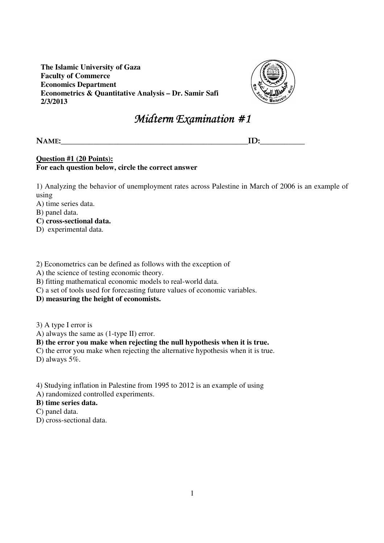**The Islamic University of Gaza Faculty of Commerce Economics Department Econometrics & Quantitative Analysis – Dr. Samir Safi 2/3/2013** 



# Midterm Examination  $#1$

NAME:\_\_\_\_\_\_\_\_\_\_\_\_\_\_\_\_\_\_\_\_\_\_\_\_\_\_\_\_\_\_\_\_\_\_\_\_\_\_\_\_\_\_\_\_\_\_ID:\_\_\_\_\_\_\_\_\_\_\_

#### **Question #1 (20 Points): For each question below, circle the correct answer**

1) Analyzing the behavior of unemployment rates across Palestine in March of 2006 is an example of using

A) time series data.

B) panel data.

**C) cross-sectional data.** 

D) experimental data.

2) Econometrics can be defined as follows with the exception of

A) the science of testing economic theory.

B) fitting mathematical economic models to real-world data.

C) a set of tools used for forecasting future values of economic variables.

**D) measuring the height of economists.** 

3) A type I error is

A) always the same as (1-type II) error.

## **B) the error you make when rejecting the null hypothesis when it is true.**

C) the error you make when rejecting the alternative hypothesis when it is true.

D) always 5%.

4) Studying inflation in Palestine from 1995 to 2012 is an example of using

A) randomized controlled experiments.

## **B) time series data.**

- C) panel data.
- D) cross-sectional data.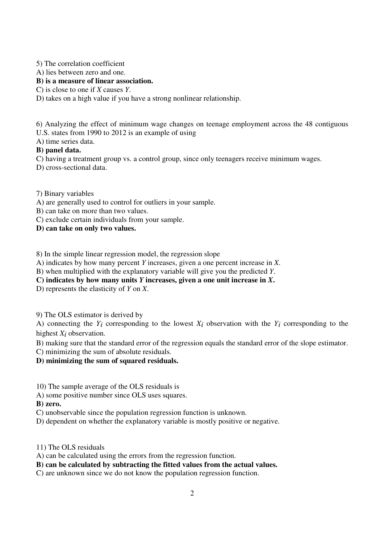5) The correlation coefficient

A) lies between zero and one.

## **B) is a measure of linear association.**

C) is close to one if *X* causes *Y*.

D) takes on a high value if you have a strong nonlinear relationship.

6) Analyzing the effect of minimum wage changes on teenage employment across the 48 contiguous

U.S. states from 1990 to 2012 is an example of using

A) time series data.

#### **B) panel data.**

C) having a treatment group vs. a control group, since only teenagers receive minimum wages.

D) cross-sectional data.

7) Binary variables

A) are generally used to control for outliers in your sample.

B) can take on more than two values.

C) exclude certain individuals from your sample.

**D) can take on only two values.** 

8) In the simple linear regression model, the regression slope

A) indicates by how many percent *Y* increases, given a one percent increase in *X*.

B) when multiplied with the explanatory variable will give you the predicted *Y*.

**C) indicates by how many units** *Y* **increases, given a one unit increase in** *X***.** 

D) represents the elasticity of *Y* on *X*.

9) The OLS estimator is derived by

A) connecting the  $Y_i$  corresponding to the lowest  $X_i$  observation with the  $Y_i$  corresponding to the highest *X<sub>i</sub>* observation.

B) making sure that the standard error of the regression equals the standard error of the slope estimator.

C) minimizing the sum of absolute residuals.

## **D) minimizing the sum of squared residuals.**

10) The sample average of the OLS residuals is

A) some positive number since OLS uses squares.

**B) zero.** 

C) unobservable since the population regression function is unknown.

D) dependent on whether the explanatory variable is mostly positive or negative.

11) The OLS residuals

A) can be calculated using the errors from the regression function.

**B) can be calculated by subtracting the fitted values from the actual values.** 

C) are unknown since we do not know the population regression function.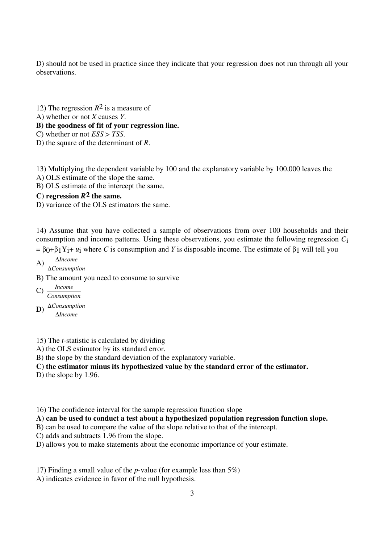D) should not be used in practice since they indicate that your regression does not run through all your observations.

- 12) The regression *R*2 is a measure of
- A) whether or not *X* causes *Y*.

#### **B) the goodness of fit of your regression line.**

C) whether or not *ESS* > *TSS*.

D) the square of the determinant of *R*.

13) Multiplying the dependent variable by 100 and the explanatory variable by 100,000 leaves the

A) OLS estimate of the slope the same.

B) OLS estimate of the intercept the same.

## **C) regression** *R***2 the same.**

D) variance of the OLS estimators the same.

14) Assume that you have collected a sample of observations from over 100 households and their consumption and income patterns. Using these observations, you estimate the following regression *C*i  $=$  β0+β1Y<sub>i</sub>+ *u*<sub>i</sub> where *C* is consumption and *Y* is disposable income. The estimate of β1 will tell you

A) 
$$
\frac{\Delta Income}{\Delta Consumption}
$$

B) The amount you need to consume to survive

$$
C) \frac{Income}{Consumption}
$$

 $\mathbf{D}$ )  $\frac{\Delta \textit{Consumption}}{\Delta \mathbf{L}}$ *Income* ∆

15) The *t*-statistic is calculated by dividing

- A) the OLS estimator by its standard error.
- B) the slope by the standard deviation of the explanatory variable.

#### **C) the estimator minus its hypothesized value by the standard error of the estimator.**

- D) the slope by 1.96.
- 16) The confidence interval for the sample regression function slope

**A) can be used to conduct a test about a hypothesized population regression function slope.** 

B) can be used to compare the value of the slope relative to that of the intercept.

C) adds and subtracts 1.96 from the slope.

D) allows you to make statements about the economic importance of your estimate.

17) Finding a small value of the *p*-value (for example less than 5%)

A) indicates evidence in favor of the null hypothesis.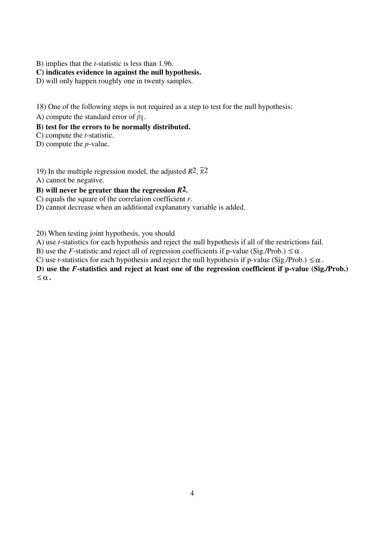B) implies that the *t*-statistic is less than 1.96.

## **C) indicates evidence in against the null hypothesis.**

D) will only happen roughly one in twenty samples.

18) One of the following steps is not required as a step to test for the null hypothesis:

A) compute the standard error of  $\hat{\beta}_1$ .

## **B) test for the errors to be normally distributed.**

C) compute the *t*-statistic.

D) compute the *p*-value.

19) In the multiple regression model, the adjusted  $R^2$ ,  $\overline{R}^2$ 

A) cannot be negative.

## **B) will never be greater than the regression** *R***2.**

C) equals the square of the correlation coefficient *r*.

D) cannot decrease when an additional explanatory variable is added.

20) When testing joint hypothesis, you should

A) use *t*-statistics for each hypothesis and reject the null hypothesis if all of the restrictions fail.

B) use the *F*-statistic and reject all of regression coefficients if p-value (Sig./Prob.)  $\leq \alpha$ .

C) use *t*-statistics for each hypothesis and reject the null hypothesis if p-value (Sig./Prob.)  $\leq \alpha$ .

**D) use the** *F***-statistics and reject at least one of the regression coefficient if p-value (Sig./Prob.)**   $\leq \alpha$ .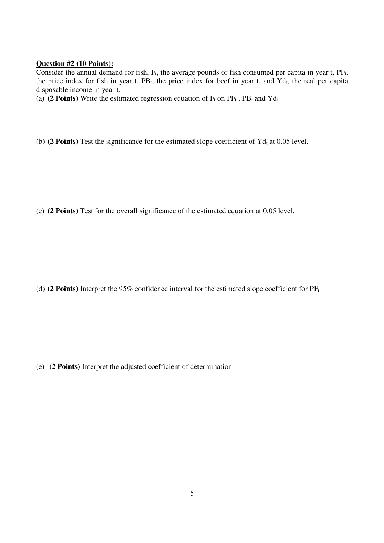#### **Question #2 (10 Points):**

Consider the annual demand for fish.  $F_t$ , the average pounds of fish consumed per capita in year t,  $PF_t$ , the price index for fish in year t,  $PB_t$ , the price index for beef in year t, and  $Yd_t$ , the real per capita disposable income in year t.

(a) (2 Points) Write the estimated regression equation of  $F_t$  on  $PF_t$ ,  $PB_t$  and  $Yd_t$ 

(b)  $(2 \text{ Points})$  Test the significance for the estimated slope coefficient of  $\text{Yd}_{t}$  at 0.05 level.

(c) **(2 Points)** Test for the overall significance of the estimated equation at 0.05 level.

(d) (2 Points) Interpret the 95% confidence interval for the estimated slope coefficient for  $PF_t$ 

(e) **(2 Points)** Interpret the adjusted coefficient of determination.